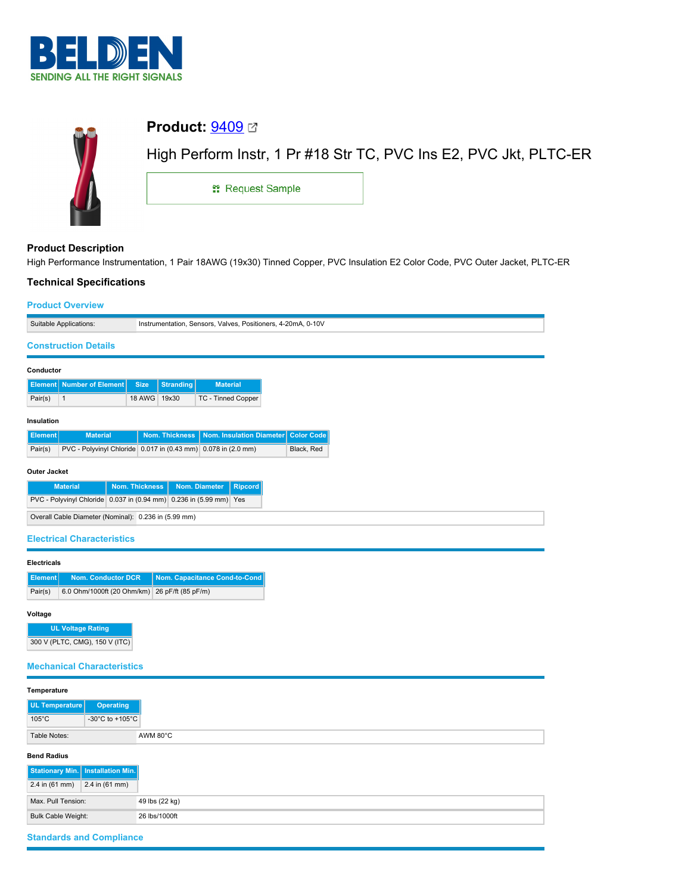



# **Product Description**

High Performance Instrumentation, 1 Pair 18AWG (19x30) Tinned Copper, PVC Insulation E2 Color Code, PVC Outer Jacket, PLTC-ER

## **Technical Specifications**

| <b>Product Overview</b>                                                                                       |                       |                    |                                                              |                                 |  |
|---------------------------------------------------------------------------------------------------------------|-----------------------|--------------------|--------------------------------------------------------------|---------------------------------|--|
| Suitable Applications:                                                                                        |                       |                    | Instrumentation, Sensors, Valves, Positioners, 4-20mA, 0-10V |                                 |  |
| <b>Construction Details</b>                                                                                   |                       |                    |                                                              |                                 |  |
| Conductor                                                                                                     |                       |                    |                                                              |                                 |  |
| <b>Element</b> Number of Element                                                                              | <b>Size</b>           | <b>Stranding</b>   | <b>Material</b>                                              |                                 |  |
| Pair(s)<br>$\mathbf{1}$                                                                                       | 18 AWG 19x30          |                    | TC - Tinned Copper                                           |                                 |  |
|                                                                                                               |                       |                    |                                                              |                                 |  |
| Insulation                                                                                                    |                       |                    |                                                              |                                 |  |
| <b>Material</b><br><b>Element</b><br>PVC - Polyvinyl Chloride 0.017 in (0.43 mm) 0.078 in (2.0 mm)<br>Pair(s) |                       | Nom. Thickness     | Nom. Insulation Diameter                                     | <b>Color Code</b><br>Black, Red |  |
|                                                                                                               |                       |                    |                                                              |                                 |  |
| <b>Outer Jacket</b>                                                                                           |                       |                    |                                                              |                                 |  |
| <b>Material</b>                                                                                               | <b>Nom. Thickness</b> |                    | Nom. Diameter<br><b>Ripcord</b>                              |                                 |  |
| PVC - Polyvinyl Chloride 0.037 in (0.94 mm) 0.236 in (5.99 mm) Yes                                            |                       |                    |                                                              |                                 |  |
| Overall Cable Diameter (Nominal): 0.236 in (5.99 mm)                                                          |                       |                    |                                                              |                                 |  |
| <b>Electrical Characteristics</b>                                                                             |                       |                    |                                                              |                                 |  |
|                                                                                                               |                       |                    |                                                              |                                 |  |
| <b>Electricals</b>                                                                                            |                       |                    |                                                              |                                 |  |
| <b>Nom. Conductor DCR</b><br><b>Element</b><br>6.0 Ohm/1000ft (20 Ohm/km)<br>Pair(s)                          |                       | 26 pF/ft (85 pF/m) | Nom. Capacitance Cond-to-Cond                                |                                 |  |
|                                                                                                               |                       |                    |                                                              |                                 |  |
| Voltage                                                                                                       |                       |                    |                                                              |                                 |  |
| <b>UL Voltage Rating</b>                                                                                      |                       |                    |                                                              |                                 |  |
| 300 V (PLTC, CMG), 150 V (ITC)                                                                                |                       |                    |                                                              |                                 |  |

## **Mechanical Characteristics**

| Temperature                         |                  |
|-------------------------------------|------------------|
| UL Temperature                      | <b>Operating</b> |
| $105^{\circ}$ C                     | -30°C to +105°C  |
| Table Notes:                        | AWM 80°C         |
| <b>Bend Radius</b>                  |                  |
| Stationary Min.   Installation Min. |                  |
| $2.4$ in (61 mm)                    | $2.4$ in (61 mm) |
| Max. Pull Tension:                  |                  |
| <b>Bulk Cable Weight:</b>           |                  |

## **Standards and Compliance**